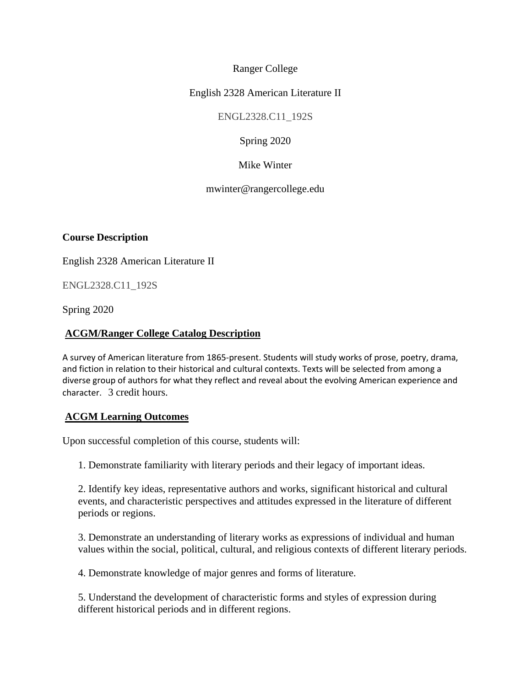## Ranger College

## English 2328 American Literature II

ENGL2328.C11\_192S

Spring 2020

Mike Winter

mwinter@rangercollege.edu

**Course Description**

English 2328 American Literature II

ENGL2328.C11\_192S

Spring 2020

#### **ACGM/Ranger College Catalog Description**

A survey of American literature from 1865-present. Students will study works of prose, poetry, drama, and fiction in relation to their historical and cultural contexts. Texts will be selected from among a diverse group of authors for what they reflect and reveal about the evolving American experience and character. 3 credit hours.

### **ACGM Learning Outcomes**

Upon successful completion of this course, students will:

1. Demonstrate familiarity with literary periods and their legacy of important ideas.

2. Identify key ideas, representative authors and works, significant historical and cultural events, and characteristic perspectives and attitudes expressed in the literature of different periods or regions.

3. Demonstrate an understanding of literary works as expressions of individual and human values within the social, political, cultural, and religious contexts of different literary periods.

4. Demonstrate knowledge of major genres and forms of literature.

5. Understand the development of characteristic forms and styles of expression during different historical periods and in different regions.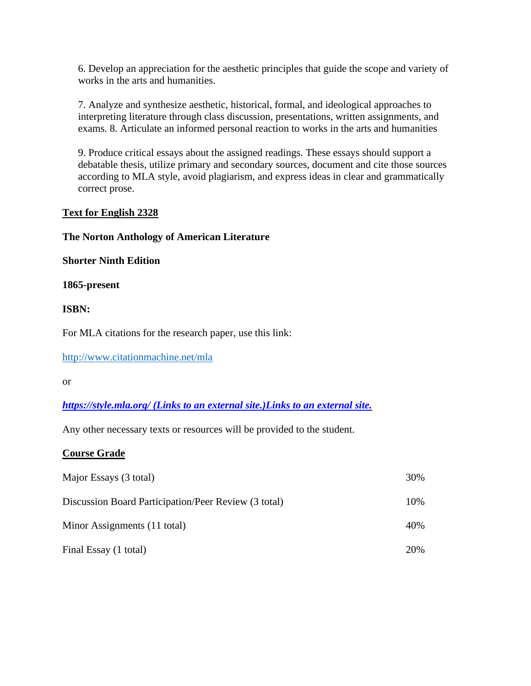6. Develop an appreciation for the aesthetic principles that guide the scope and variety of works in the arts and humanities.

7. Analyze and synthesize aesthetic, historical, formal, and ideological approaches to interpreting literature through class discussion, presentations, written assignments, and exams. 8. Articulate an informed personal reaction to works in the arts and humanities

9. Produce critical essays about the assigned readings. These essays should support a debatable thesis, utilize primary and secondary sources, document and cite those sources according to MLA style, avoid plagiarism, and express ideas in clear and grammatically correct prose.

## **Text for English 2328**

### **The Norton Anthology of American Literature**

#### **Shorter Ninth Edition**

#### **1865-present**

### **ISBN:**

For MLA citations for the research paper, use this link:

<http://www.citationmachine.net/mla>

or

### *https://style.mla.org/ [\(Links to an external site.\)Links to an external site.](https://style.mla.org/)*

Any other necessary texts or resources will be provided to the student.

### **Course Grade**

| Major Essays (3 total)                               | 30%  |
|------------------------------------------------------|------|
| Discussion Board Participation/Peer Review (3 total) | 10%  |
| Minor Assignments (11 total)                         | 40%  |
| Final Essay (1 total)                                | 20\% |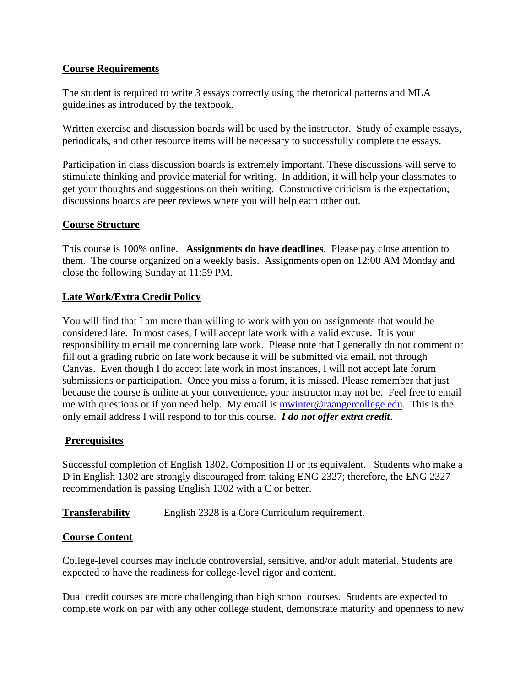## **Course Requirements**

The student is required to write 3 essays correctly using the rhetorical patterns and MLA guidelines as introduced by the textbook.

Written exercise and discussion boards will be used by the instructor. Study of example essays, periodicals, and other resource items will be necessary to successfully complete the essays.

Participation in class discussion boards is extremely important. These discussions will serve to stimulate thinking and provide material for writing. In addition, it will help your classmates to get your thoughts and suggestions on their writing. Constructive criticism is the expectation; discussions boards are peer reviews where you will help each other out.

## **Course Structure**

This course is 100% online. **Assignments do have deadlines**. Please pay close attention to them. The course organized on a weekly basis. Assignments open on 12:00 AM Monday and close the following Sunday at 11:59 PM.

## **Late Work/Extra Credit Policy**

You will find that I am more than willing to work with you on assignments that would be considered late. In most cases, I will accept late work with a valid excuse. It is your responsibility to email me concerning late work. Please note that I generally do not comment or fill out a grading rubric on late work because it will be submitted via email, not through Canvas. Even though I do accept late work in most instances, I will not accept late forum submissions or participation. Once you miss a forum, it is missed. Please remember that just because the course is online at your convenience, your instructor may not be. Feel free to email me with questions or if you need help. My email is **mwinter@raangercollege.edu**. This is the only email address I will respond to for this course. *I do not offer extra credit*.

# **Prerequisites**

Successful completion of English 1302, Composition II or its equivalent. Students who make a D in English 1302 are strongly discouraged from taking ENG 2327; therefore, the ENG 2327 recommendation is passing English 1302 with a C or better.

**Transferability** English 2328 is a Core Curriculum requirement.

# **Course Content**

College-level courses may include controversial, sensitive, and/or adult material. Students are expected to have the readiness for college-level rigor and content.

Dual credit courses are more challenging than high school courses. Students are expected to complete work on par with any other college student, demonstrate maturity and openness to new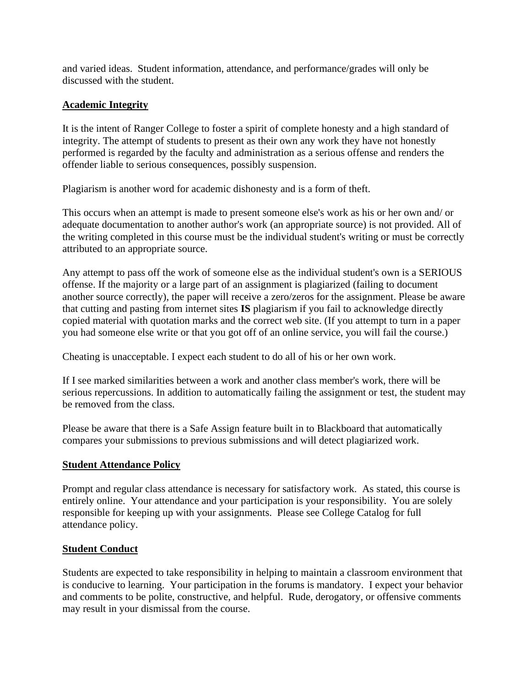and varied ideas. Student information, attendance, and performance/grades will only be discussed with the student.

# **Academic Integrity**

It is the intent of Ranger College to foster a spirit of complete honesty and a high standard of integrity. The attempt of students to present as their own any work they have not honestly performed is regarded by the faculty and administration as a serious offense and renders the offender liable to serious consequences, possibly suspension.

Plagiarism is another word for academic dishonesty and is a form of theft.

This occurs when an attempt is made to present someone else's work as his or her own and/ or adequate documentation to another author's work (an appropriate source) is not provided. All of the writing completed in this course must be the individual student's writing or must be correctly attributed to an appropriate source.

Any attempt to pass off the work of someone else as the individual student's own is a SERIOUS offense. If the majority or a large part of an assignment is plagiarized (failing to document another source correctly), the paper will receive a zero/zeros for the assignment. Please be aware that cutting and pasting from internet sites **IS** plagiarism if you fail to acknowledge directly copied material with quotation marks and the correct web site. (If you attempt to turn in a paper you had someone else write or that you got off of an online service, you will fail the course.)

Cheating is unacceptable. I expect each student to do all of his or her own work.

If I see marked similarities between a work and another class member's work, there will be serious repercussions. In addition to automatically failing the assignment or test, the student may be removed from the class.

Please be aware that there is a Safe Assign feature built in to Blackboard that automatically compares your submissions to previous submissions and will detect plagiarized work.

# **Student Attendance Policy**

Prompt and regular class attendance is necessary for satisfactory work. As stated, this course is entirely online. Your attendance and your participation is your responsibility. You are solely responsible for keeping up with your assignments. Please see College Catalog for full attendance policy.

# **Student Conduct**

Students are expected to take responsibility in helping to maintain a classroom environment that is conducive to learning. Your participation in the forums is mandatory. I expect your behavior and comments to be polite, constructive, and helpful. Rude, derogatory, or offensive comments may result in your dismissal from the course.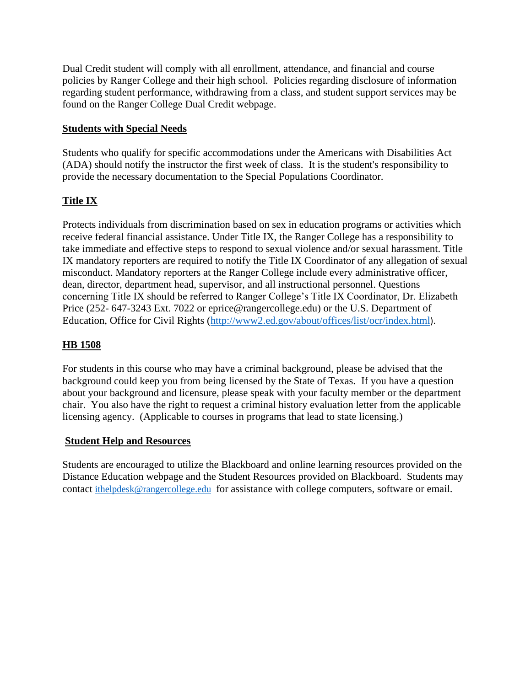Dual Credit student will comply with all enrollment, attendance, and financial and course policies by Ranger College and their high school. Policies regarding disclosure of information regarding student performance, withdrawing from a class, and student support services may be found on the Ranger College Dual Credit webpage.

# **Students with Special Needs**

Students who qualify for specific accommodations under the Americans with Disabilities Act (ADA) should notify the instructor the first week of class. It is the student's responsibility to provide the necessary documentation to the Special Populations Coordinator.

# **Title IX**

Protects individuals from discrimination based on sex in education programs or activities which receive federal financial assistance. Under Title IX, the Ranger College has a responsibility to take immediate and effective steps to respond to sexual violence and/or sexual harassment. Title IX mandatory reporters are required to notify the Title IX Coordinator of any allegation of sexual misconduct. Mandatory reporters at the Ranger College include every administrative officer, dean, director, department head, supervisor, and all instructional personnel. Questions concerning Title IX should be referred to Ranger College's Title IX Coordinator, Dr. Elizabeth Price (252- 647-3243 Ext. 7022 or eprice@rangercollege.edu) or the U.S. Department of Education, Office for Civil Rights [\(http://www2.ed.gov/about/offices/list/ocr/index.html](http://www2.ed.gov/about/offices/list/ocr/index.html)).

# **HB 1508**

For students in this course who may have a criminal background, please be advised that the background could keep you from being licensed by the State of Texas. If you have a question about your background and licensure, please speak with your faculty member or the department chair. You also have the right to request a criminal history evaluation letter from the applicable licensing agency. (Applicable to courses in programs that lead to state licensing.)

# **Student Help and Resources**

Students are encouraged to utilize the Blackboard and online learning resources provided on the Distance Education webpage and the Student Resources provided on Blackboard. Students may contact [ithelpdesk@rangercollege.edu](mailto:ithelpdesk@rangercollege.edu) for assistance with college computers, software or email.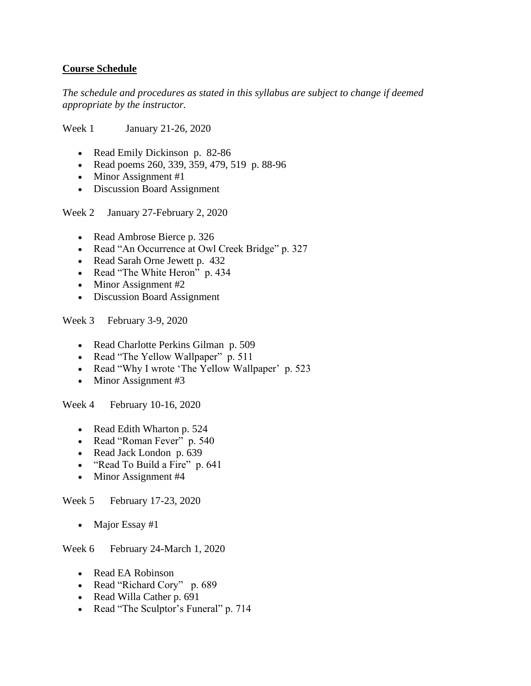## **Course Schedule**

*The schedule and procedures as stated in this syllabus are subject to change if deemed appropriate by the instructor.*

Week 1 January 21-26, 2020

- Read Emily Dickinson p. 82-86
- Read poems 260, 339, 359, 479, 519 p. 88-96
- Minor Assignment #1
- Discussion Board Assignment

Week 2 January 27-February 2, 2020

- Read Ambrose Bierce p. 326
- Read "An Occurrence at Owl Creek Bridge" p. 327
- Read Sarah Orne Jewett p. 432
- Read "The White Heron" p. 434
- Minor Assignment #2
- Discussion Board Assignment

Week 3 February 3-9, 2020

- Read Charlotte Perkins Gilman p. 509
- Read "The Yellow Wallpaper" p. 511
- Read "Why I wrote 'The Yellow Wallpaper' p. 523
- Minor Assignment #3

Week 4 February 10-16, 2020

- Read Edith Wharton p. 524
- Read "Roman Fever" p. 540
- Read Jack London p. 639
- "Read To Build a Fire" p. 641
- Minor Assignment #4

Week 5 February 17-23, 2020

• Major Essay #1

Week 6 February 24-March 1, 2020

- Read EA Robinson
- Read "Richard Cory" p. 689
- Read Willa Cather p. 691
- Read "The Sculptor's Funeral" p. 714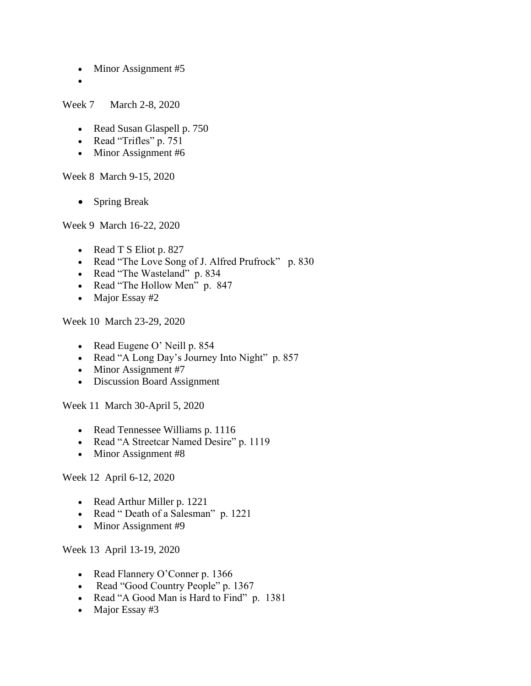- Minor Assignment #5
- •

Week 7 March 2-8, 2020

- Read Susan Glaspell p. 750
- Read "Trifles" p. 751
- Minor Assignment #6

Week 8 March 9-15, 2020

• Spring Break

Week 9 March 16-22, 2020

- Read T S Eliot p. 827
- Read "The Love Song of J. Alfred Prufrock" p. 830
- Read "The Wasteland" p. 834
- Read "The Hollow Men" p. 847
- Major Essay #2

Week 10 March 23-29, 2020

- Read Eugene O' Neill p. 854
- Read "A Long Day's Journey Into Night" p. 857
- Minor Assignment #7
- Discussion Board Assignment

Week 11 March 30-April 5, 2020

- Read Tennessee Williams p. 1116
- Read "A Streetcar Named Desire" p. 1119
- Minor Assignment #8

Week 12 April 6-12, 2020

- Read Arthur Miller p. 1221
- Read " Death of a Salesman" p. 1221
- Minor Assignment #9

Week 13 April 13-19, 2020

- Read Flannery O'Conner p. 1366
- Read "Good Country People" p. 1367
- Read "A Good Man is Hard to Find" p. 1381
- Major Essay #3